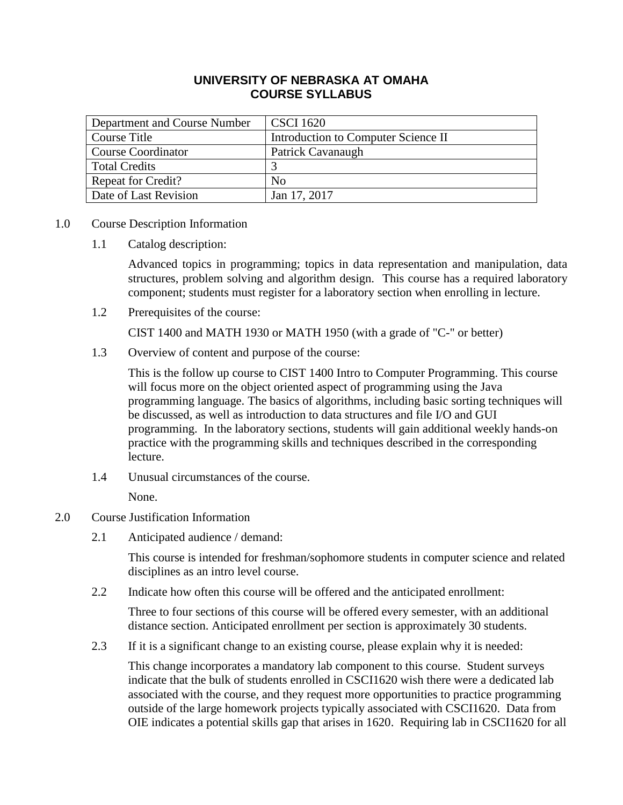## **UNIVERSITY OF NEBRASKA AT OMAHA COURSE SYLLABUS**

| Department and Course Number | <b>CSCI</b> 1620                    |
|------------------------------|-------------------------------------|
| Course Title                 | Introduction to Computer Science II |
| <b>Course Coordinator</b>    | Patrick Cavanaugh                   |
| <b>Total Credits</b>         |                                     |
| <b>Repeat for Credit?</b>    | No.                                 |
| Date of Last Revision        | Jan 17, 2017                        |

#### 1.0 Course Description Information

1.1 Catalog description:

Advanced topics in programming; topics in data representation and manipulation, data structures, problem solving and algorithm design. This course has a required laboratory component; students must register for a laboratory section when enrolling in lecture.

1.2 Prerequisites of the course:

CIST 1400 and MATH 1930 or MATH 1950 (with a grade of "C-" or better)

1.3 Overview of content and purpose of the course:

This is the follow up course to CIST 1400 Intro to Computer Programming. This course will focus more on the object oriented aspect of programming using the Java programming language. The basics of algorithms, including basic sorting techniques will be discussed, as well as introduction to data structures and file I/O and GUI programming. In the laboratory sections, students will gain additional weekly hands-on practice with the programming skills and techniques described in the corresponding lecture.

1.4 Unusual circumstances of the course.

None.

## 2.0 Course Justification Information

2.1 Anticipated audience / demand:

This course is intended for freshman/sophomore students in computer science and related disciplines as an intro level course.

2.2 Indicate how often this course will be offered and the anticipated enrollment:

Three to four sections of this course will be offered every semester, with an additional distance section. Anticipated enrollment per section is approximately 30 students.

2.3 If it is a significant change to an existing course, please explain why it is needed:

This change incorporates a mandatory lab component to this course. Student surveys indicate that the bulk of students enrolled in CSCI1620 wish there were a dedicated lab associated with the course, and they request more opportunities to practice programming outside of the large homework projects typically associated with CSCI1620. Data from OIE indicates a potential skills gap that arises in 1620. Requiring lab in CSCI1620 for all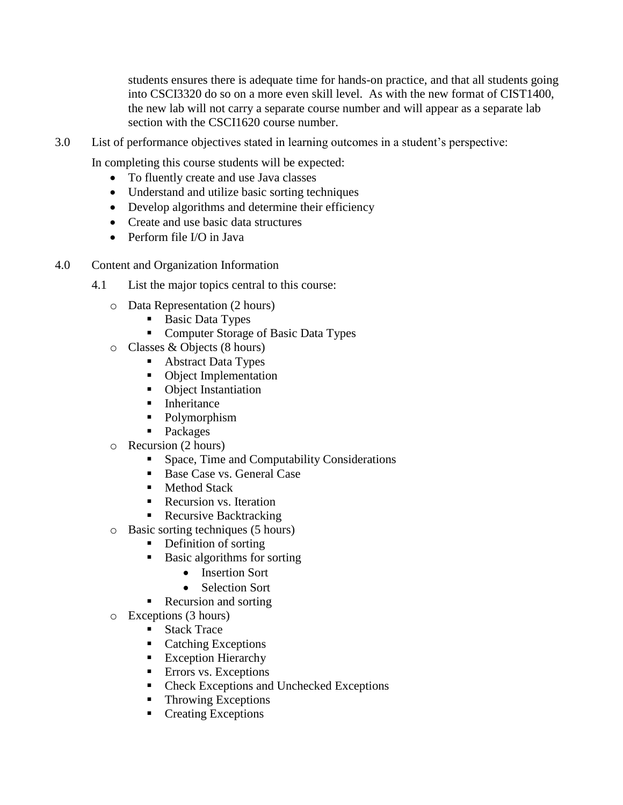students ensures there is adequate time for hands-on practice, and that all students going into CSCI3320 do so on a more even skill level. As with the new format of CIST1400, the new lab will not carry a separate course number and will appear as a separate lab section with the CSCI1620 course number.

3.0 List of performance objectives stated in learning outcomes in a student's perspective:

In completing this course students will be expected:

- To fluently create and use Java classes
- Understand and utilize basic sorting techniques
- Develop algorithms and determine their efficiency
- Create and use basic data structures
- Perform file I/O in Java
- 4.0 Content and Organization Information
	- 4.1 List the major topics central to this course:
		- o Data Representation (2 hours)
			- Basic Data Types
			- **Computer Storage of Basic Data Types**
		- o Classes & Objects (8 hours)
			- Abstract Data Types
			- Object Implementation
			- Object Instantiation
			- **Inheritance**
			- Polymorphism
			- **Packages**
		- o Recursion (2 hours)
			- Space, Time and Computability Considerations
			- Base Case vs. General Case
			- Method Stack
			- Recursion vs. Iteration
			- Recursive Backtracking
		- o Basic sorting techniques (5 hours)
			- Definition of sorting
			- **Basic algorithms for sorting** 
				- Insertion Sort
				- Selection Sort
			- Recursion and sorting
		- o Exceptions (3 hours)
			- Stack Trace
			- Catching Exceptions
			- **Exception Hierarchy**
			- **E**rrors vs. Exceptions
			- Check Exceptions and Unchecked Exceptions
			- Throwing Exceptions
			- **Creating Exceptions**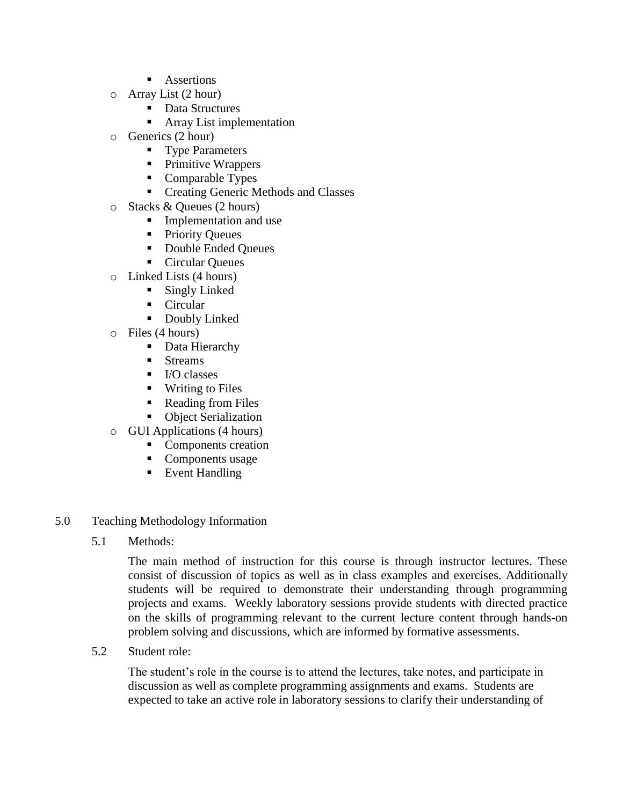- **Assertions**
- o Array List (2 hour)
	- Data Structures
	- **Array List implementation**
- o Generics (2 hour)
	- **Type Parameters**
	- Primitive Wrappers
	- Comparable Types
	- **Creating Generic Methods and Classes**
- o Stacks & Queues (2 hours)
	- **Implementation and use**
	- **Priority Queues**
	- Double Ended Queues
	- Circular Queues
- o Linked Lists (4 hours)
	- **Singly Linked**
	- Circular
	- **Doubly Linked**
- o Files (4 hours)
	- Data Hierarchy
	- **Streams**
	- $\blacksquare$  I/O classes
	- **Writing to Files**
	- Reading from Files
	- Object Serialization
- o GUI Applications (4 hours)
	- Components creation
	- Components usage
	- Event Handling
- 5.0 Teaching Methodology Information
	- 5.1 Methods:

The main method of instruction for this course is through instructor lectures. These consist of discussion of topics as well as in class examples and exercises. Additionally students will be required to demonstrate their understanding through programming projects and exams. Weekly laboratory sessions provide students with directed practice on the skills of programming relevant to the current lecture content through hands-on problem solving and discussions, which are informed by formative assessments.

5.2 Student role:

The student's role in the course is to attend the lectures, take notes, and participate in discussion as well as complete programming assignments and exams. Students are expected to take an active role in laboratory sessions to clarify their understanding of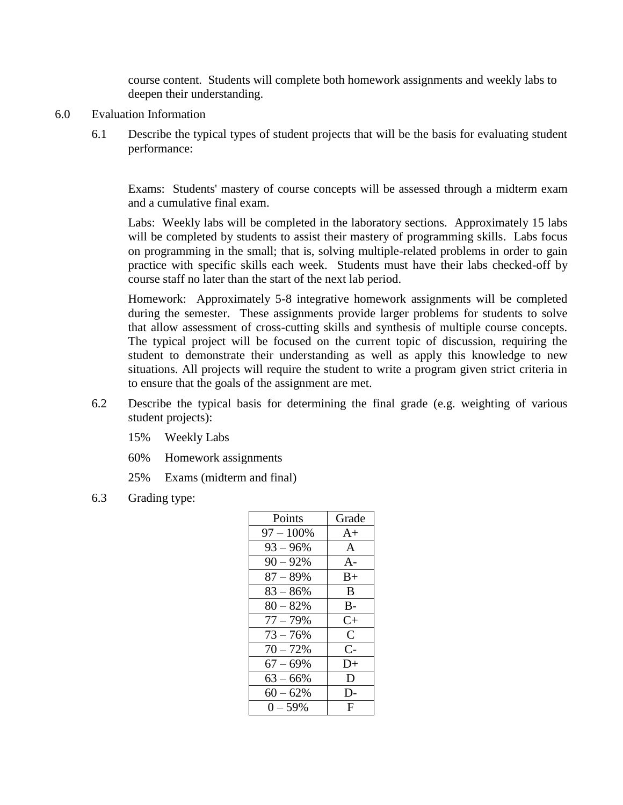course content. Students will complete both homework assignments and weekly labs to deepen their understanding.

- 6.0 Evaluation Information
	- 6.1 Describe the typical types of student projects that will be the basis for evaluating student performance:

Exams: Students' mastery of course concepts will be assessed through a midterm exam and a cumulative final exam.

Labs: Weekly labs will be completed in the laboratory sections. Approximately 15 labs will be completed by students to assist their mastery of programming skills. Labs focus on programming in the small; that is, solving multiple-related problems in order to gain practice with specific skills each week. Students must have their labs checked-off by course staff no later than the start of the next lab period.

Homework: Approximately 5-8 integrative homework assignments will be completed during the semester. These assignments provide larger problems for students to solve that allow assessment of cross-cutting skills and synthesis of multiple course concepts. The typical project will be focused on the current topic of discussion, requiring the student to demonstrate their understanding as well as apply this knowledge to new situations. All projects will require the student to write a program given strict criteria in to ensure that the goals of the assignment are met.

- 6.2 Describe the typical basis for determining the final grade (e.g. weighting of various student projects):
	- 15% Weekly Labs
	- 60% Homework assignments
	- 25% Exams (midterm and final)
- 6.3 Grading type:

| Points       | Grade         |
|--------------|---------------|
| $97 - 100\%$ | $A+$          |
| $93 - 96\%$  | A             |
| $90 - 92%$   | $A -$         |
| $87 - 89%$   | $B+$          |
| $83 - 86\%$  | B             |
| $80 - 82%$   | $B -$         |
| $77 - 79%$   | $C+$          |
| $73 - 76%$   | $\mathcal{C}$ |
| $70 - 72%$   | $C-$          |
| $67 - 69\%$  | D+            |
| $63 - 66\%$  | D             |
| $60 - 62%$   | D-            |
| $0 - 59%$    | F             |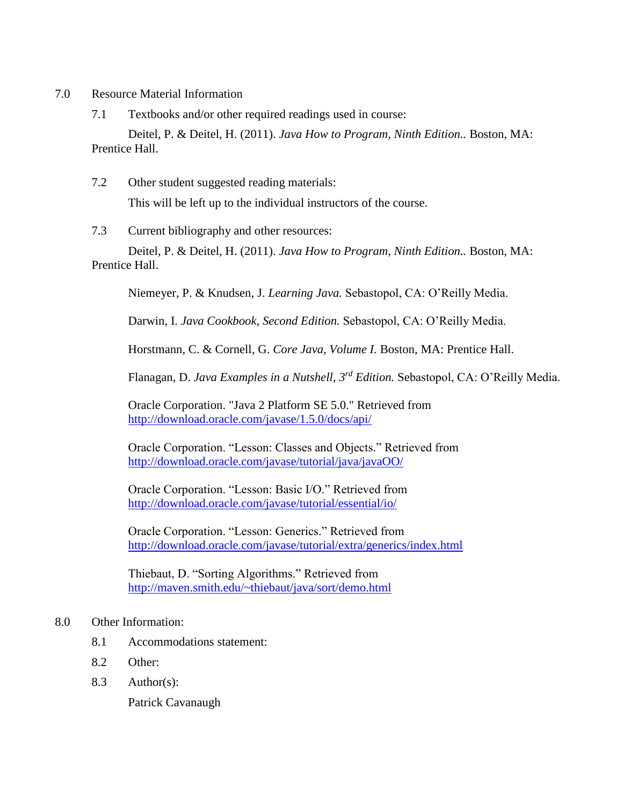- 7.0 Resource Material Information
	- 7.1 Textbooks and/or other required readings used in course:

Deitel, P. & Deitel, H. (2011). *Java How to Program, Ninth Edition..* Boston, MA: Prentice Hall.

7.2 Other student suggested reading materials:

This will be left up to the individual instructors of the course.

7.3 Current bibliography and other resources:

Deitel, P. & Deitel, H. (2011). *Java How to Program, Ninth Edition..* Boston, MA: Prentice Hall.

Niemeyer, P. & Knudsen, J. *Learning Java.* Sebastopol, CA: O'Reilly Media.

Darwin, I. *Java Cookbook, Second Edition.* Sebastopol, CA: O'Reilly Media.

Horstmann, C. & Cornell, G. *Core Java, Volume I.* Boston, MA: Prentice Hall.

Flanagan, D. *Java Examples in a Nutshell, 3rd Edition.* Sebastopol, CA: O'Reilly Media.

Oracle Corporation. "Java 2 Platform SE 5.0." Retrieved from <http://download.oracle.com/javase/1.5.0/docs/api/>

Oracle Corporation. "Lesson: Classes and Objects." Retrieved from <http://download.oracle.com/javase/tutorial/java/javaOO/>

Oracle Corporation. "Lesson: Basic I/O." Retrieved from <http://download.oracle.com/javase/tutorial/essential/io/>

Oracle Corporation. "Lesson: Generics." Retrieved from <http://download.oracle.com/javase/tutorial/extra/generics/index.html>

Thiebaut, D. "Sorting Algorithms." Retrieved from <http://maven.smith.edu/~thiebaut/java/sort/demo.html>

#### 8.0 Other Information:

- 8.1 Accommodations statement:
- 8.2 Other:
- 8.3 Author(s):

Patrick Cavanaugh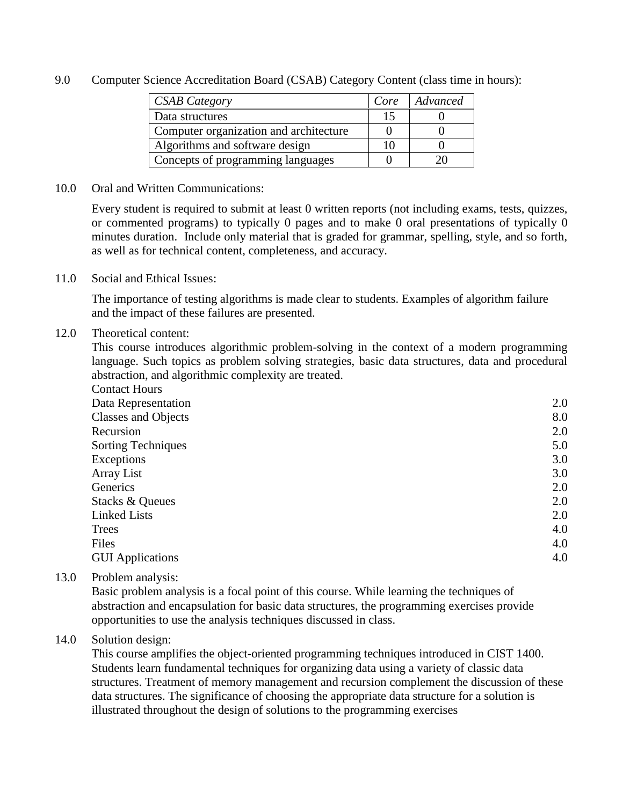9.0 Computer Science Accreditation Board (CSAB) Category Content (class time in hours):

| <b>CSAB</b> Category                   | Core | Advanced |
|----------------------------------------|------|----------|
| Data structures                        |      |          |
| Computer organization and architecture |      |          |
| Algorithms and software design         |      |          |
| Concepts of programming languages      |      |          |

#### 10.0 Oral and Written Communications:

Every student is required to submit at least 0 written reports (not including exams, tests, quizzes, or commented programs) to typically 0 pages and to make 0 oral presentations of typically 0 minutes duration. Include only material that is graded for grammar, spelling, style, and so forth, as well as for technical content, completeness, and accuracy.

11.0 Social and Ethical Issues:

The importance of testing algorithms is made clear to students. Examples of algorithm failure and the impact of these failures are presented.

#### 12.0 Theoretical content:

This course introduces algorithmic problem-solving in the context of a modern programming language. Such topics as problem solving strategies, basic data structures, data and procedural abstraction, and algorithmic complexity are treated.

| <b>Contact Hours</b>       |     |
|----------------------------|-----|
| Data Representation        | 2.0 |
| <b>Classes and Objects</b> | 8.0 |
| Recursion                  | 2.0 |
| <b>Sorting Techniques</b>  | 5.0 |
| Exceptions                 | 3.0 |
| <b>Array List</b>          | 3.0 |
| Generics                   | 2.0 |
| Stacks & Queues            | 2.0 |
| <b>Linked Lists</b>        | 2.0 |
| <b>Trees</b>               | 4.0 |
| Files                      | 4.0 |
| <b>GUI Applications</b>    | 4.0 |

13.0 Problem analysis:

Basic problem analysis is a focal point of this course. While learning the techniques of abstraction and encapsulation for basic data structures, the programming exercises provide opportunities to use the analysis techniques discussed in class.

## 14.0 Solution design:

This course amplifies the object-oriented programming techniques introduced in CIST 1400. Students learn fundamental techniques for organizing data using a variety of classic data structures. Treatment of memory management and recursion complement the discussion of these data structures. The significance of choosing the appropriate data structure for a solution is illustrated throughout the design of solutions to the programming exercises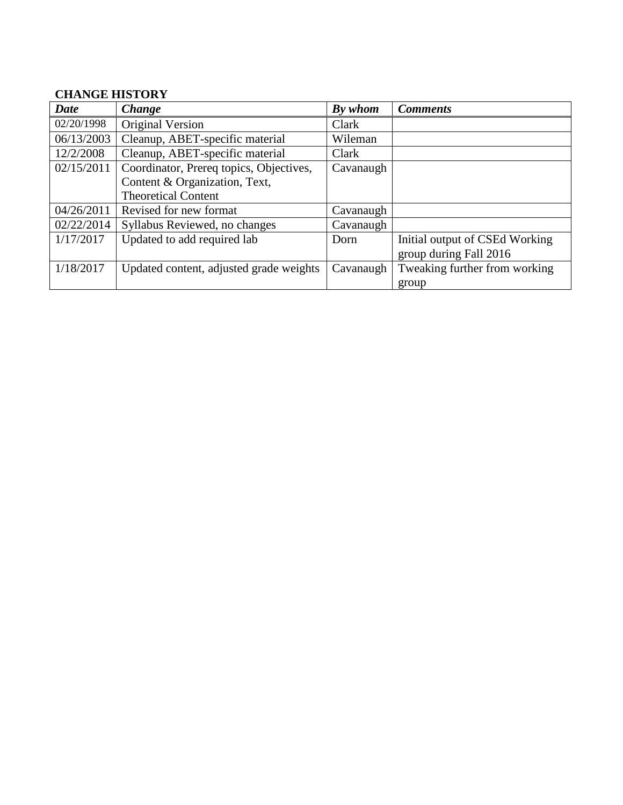# **CHANGE HISTORY**

| Date       | <b>Change</b>                           | By whom   | <b>Comments</b>                |
|------------|-----------------------------------------|-----------|--------------------------------|
| 02/20/1998 | Original Version                        | Clark     |                                |
| 06/13/2003 | Cleanup, ABET-specific material         | Wileman   |                                |
| 12/2/2008  | Cleanup, ABET-specific material         | Clark     |                                |
| 02/15/2011 | Coordinator, Prereq topics, Objectives, | Cavanaugh |                                |
|            | Content & Organization, Text,           |           |                                |
|            | <b>Theoretical Content</b>              |           |                                |
| 04/26/2011 | Revised for new format                  | Cavanaugh |                                |
| 02/22/2014 | Syllabus Reviewed, no changes           | Cavanaugh |                                |
| 1/17/2017  | Updated to add required lab             | Dorn      | Initial output of CSEd Working |
|            |                                         |           | group during Fall 2016         |
| 1/18/2017  | Updated content, adjusted grade weights | Cavanaugh | Tweaking further from working  |
|            |                                         |           | group                          |